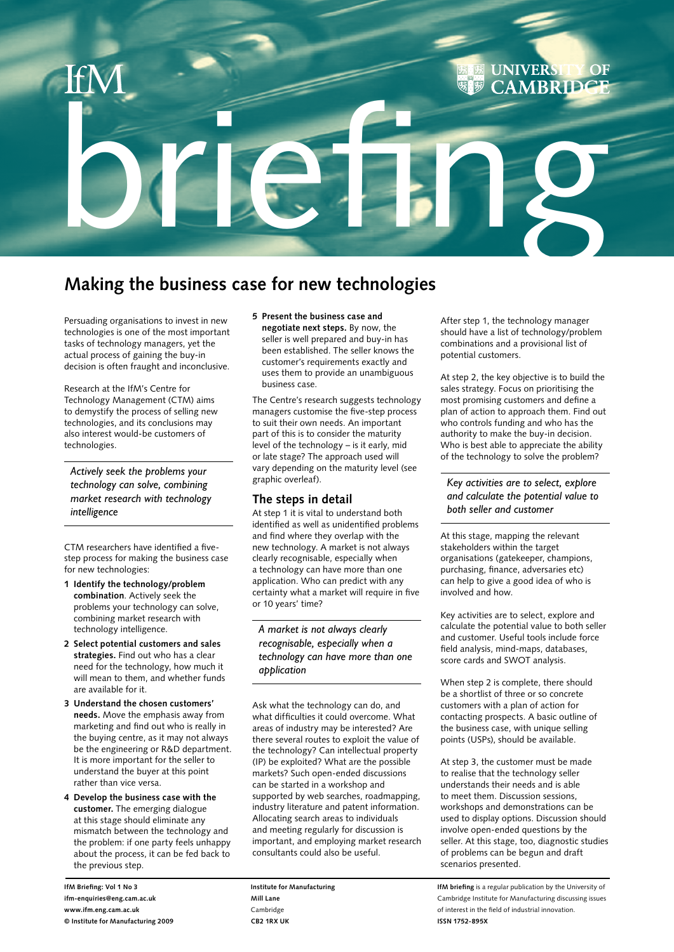# **UNIVERS**  $\overline{\text{OF}}$ **CAMBRID** briefing

### **Making the business case for new technologies**

Persuading organisations to invest in new technologies is one of the most important tasks of technology managers, yet the actual process of gaining the buy-in decision is often fraught and inconclusive.

Research at the IfM's Centre for Technology Management (CTM) aims to demystify the process of selling new technologies, and its conclusions may also interest would-be customers of technologies.

*Actively seek the problems your technology can solve, combining market research with technology intelligence*

CTM researchers have identified a fivestep process for making the business case for new technologies:

- **1 Identify the technology/problem combination**. Actively seek the problems your technology can solve, combining market research with technology intelligence.
- **2 Select potential customers and sales strategies.** Find out who has a clear need for the technology, how much it will mean to them, and whether funds are available for it.
- **3 Understand the chosen customers' needs.** Move the emphasis away from marketing and find out who is really in the buying centre, as it may not always be the engineering or R&D department. It is more important for the seller to understand the buyer at this point rather than vice versa.
- **4 Develop the business case with the customer.** The emerging dialogue at this stage should eliminate any mismatch between the technology and the problem: if one party feels unhappy about the process, it can be fed back to the previous step.

### **5 Present the business case and**

**negotiate next steps.** By now, the seller is well prepared and buy-in has been established. The seller knows the customer's requirements exactly and uses them to provide an unambiguous business case.

The Centre's research suggests technology managers customise the five-step process to suit their own needs. An important part of this is to consider the maturity level of the technology – is it early, mid or late stage? The approach used will vary depending on the maturity level (see graphic overleaf).

### **The steps in detail**

At step 1 it is vital to understand both identified as well as unidentified problems and find where they overlap with the new technology. A market is not always clearly recognisable, especially when a technology can have more than one application. Who can predict with any certainty what a market will require in five or 10 years' time?

*A market is not always clearly recognisable, especially when a technology can have more than one application*

Ask what the technology can do, and what difficulties it could overcome. What areas of industry may be interested? Are there several routes to exploit the value of the technology? Can intellectual property (IP) be exploited? What are the possible markets? Such open-ended discussions can be started in a workshop and supported by web searches, roadmapping, industry literature and patent information. Allocating search areas to individuals and meeting regularly for discussion is important, and employing market research consultants could also be useful.

**Institute for Manufacturing Mill Lane** Cambridge **CB2 1RX UK**

After step 1, the technology manager should have a list of technology/problem combinations and a provisional list of potential customers.

At step 2, the key objective is to build the sales strategy. Focus on prioritising the most promising customers and define a plan of action to approach them. Find out who controls funding and who has the authority to make the buy-in decision. Who is best able to appreciate the ability of the technology to solve the problem?

*Key activities are to select, explore and calculate the potential value to both seller and customer*

At this stage, mapping the relevant stakeholders within the target organisations (gatekeeper, champions, purchasing, finance, adversaries etc) can help to give a good idea of who is involved and how.

Key activities are to select, explore and calculate the potential value to both seller and customer. Useful tools include force field analysis, mind-maps, databases, score cards and SWOT analysis.

When step 2 is complete, there should be a shortlist of three or so concrete customers with a plan of action for contacting prospects. A basic outline of the business case, with unique selling points (USPs), should be available.

At step 3, the customer must be made to realise that the technology seller understands their needs and is able to meet them. Discussion sessions, workshops and demonstrations can be used to display options. Discussion should involve open-ended questions by the seller. At this stage, too, diagnostic studies of problems can be begun and draft scenarios presented.

**IfM briefing** is a regular publication by the University of Cambridge Institute for Manufacturing discussing issues of interest in the field of industrial innovation. **ISSN 1752-895X**